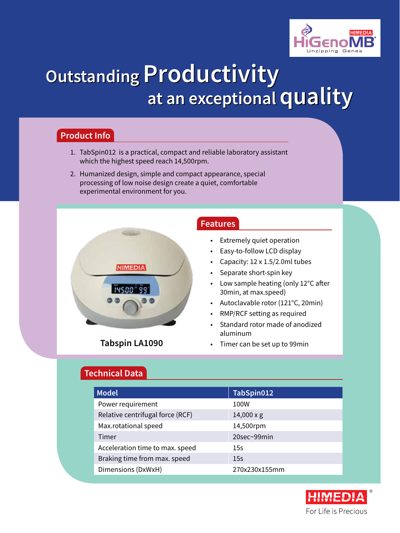

# **Outstanding Productivity Outstanding Productivity at an exceptional quality at an exceptional quality**

## **Product Info**

- 1. TabSpin012 is a practical, compact and reliable laboratory assistant which the highest speed reach 14,500rpm.
- 2. Humanized design, simple and compact appearance, special processing of low noise design create a quiet, comfortable experimental environment for you.



## **Tabspin LA1090**

#### **Features**

- **Extremely quiet operation**
- Easy-to-follow LCD display
- Capacity:  $12 \times 1.5/2.0$ ml tubes
- Separate short-spin key
- Low sample heating (only 12°C after 30min, at max.speed)
- • Autoclavable rotor (121°C, 20min)
- RMP/RCF setting as required
- Standard rotor made of anodized aluminum
- Timer can be set up to 99min

## **Technical Data**

| <b>Model</b>                     | TabSpin012        |
|----------------------------------|-------------------|
| Power requirement                | 100W              |
| Relative centrifugal force (RCF) | $14,000 \times g$ |
| Max.rotational speed             | 14,500rpm         |
| Timer                            | $20$ sec~99 $min$ |
| Acceleration time to max. speed  | 15s               |
| Braking time from max. speed     | 15s               |
| Dimensions (DxWxH)               | 270x230x155mm     |